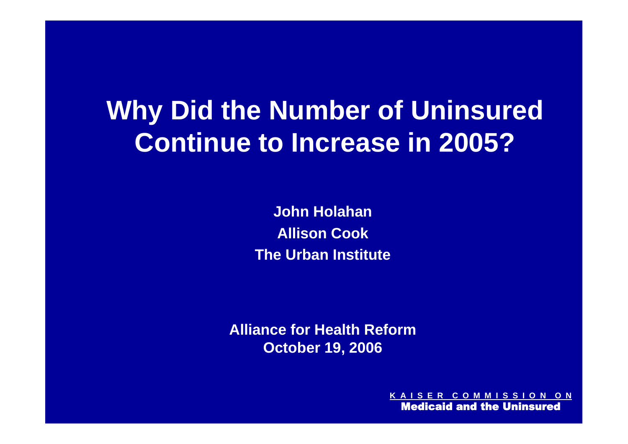## **Why Did the Number of Uninsured Continue to Increase in 2005?**

**John Holahan Allison Cook The Urban Institute**

**Alliance for Health Reform October 19, 2006**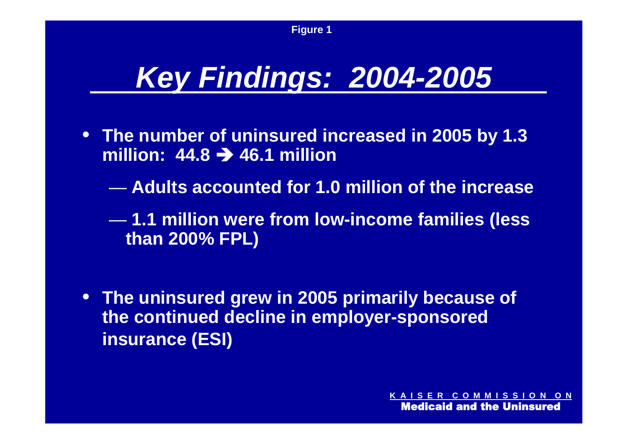# *Key Findings: 2004-2005*

- **The number of uninsured increased in 2005 by 1.3 million: 44.8 46.1 million**
	- **Adults accounted for 1.0 million of the increase**
	- **1.1 million were from low-income families (less than 200% FPL)**
- **The uninsured grew in 2005 primarily because of the continued decline in employer-sponsored insurance (ESI)**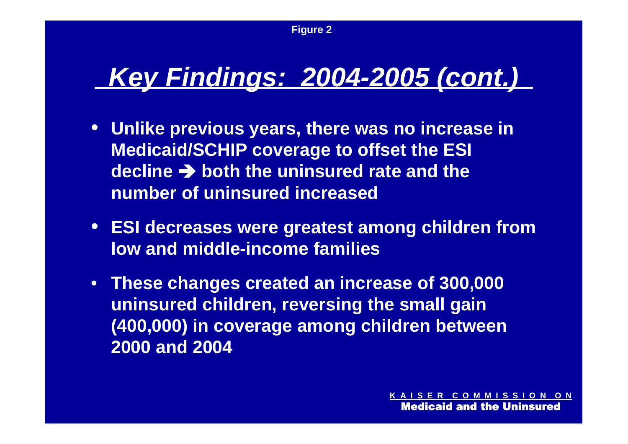## *Key Findings: 2004-2005 (cont.)*

- **Unlike previous years, there was no increase in Medicaid/SCHIP coverage to offset the ESI decline both the uninsured rate and the number of uninsured increased**
- **ESI decreases were greatest among children from low and middle-income families**
- **These changes created an increase of 300,000 uninsured children, reversing the small gain (400,000) in coverage among children between 2000 and 2004**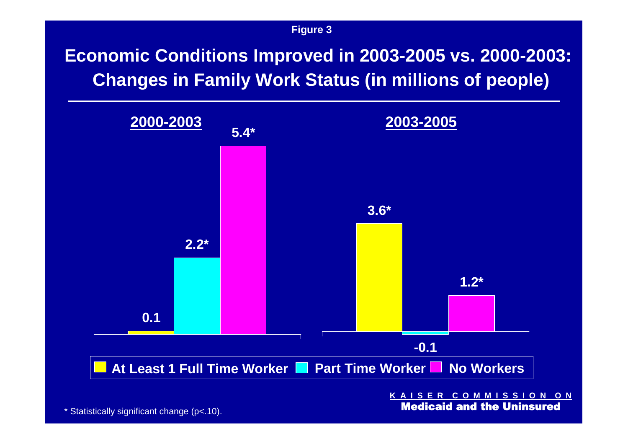**Figure 3**

**Economic Conditions Improved in 2003-2005 vs. 2000-2003: Changes in Family Work Status (in millions of people)**



**K A I S E R C O M M I S S I O N O N** Medicaid and the Uninsured

\* Statistically significant change (p<.10).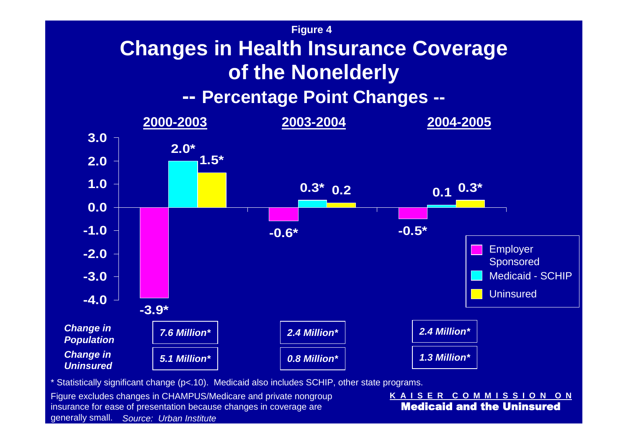### **Figure 4 Changes in Health Insurance Coverage of the Nonelderly**

#### **-- Percentage Point Changes --**



\* Statistically significant change (p<.10). Medicaid also includes SCHIP, other state programs.

*Source: Urban Institute* generally small. Figure excludes changes in CHAMPUS/Medicare and private nongroup insurance for ease of presentation because changes in coverage are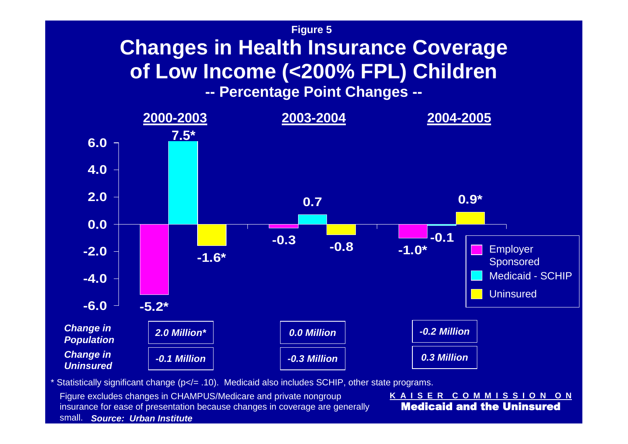### **Figure 5 Changes in Health Insurance Coverage of Low Income (<200% FPL) Children**

**-- Percentage Point Changes --**



Statistically significant change ( $p$ </= .10). Medicaid also includes SCHIP, other state programs.

*Source: Urban Institute* small. Figure excludes changes in CHAMPUS/Medicare and private nongroup insurance for ease of presentation because changes in coverage are generally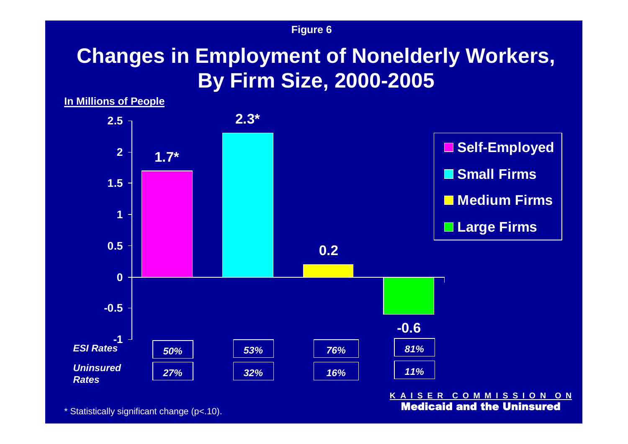#### **Figure 6**

## **Changes in Employment of Nonelderly Workers, By Firm Size, 2000-2005**

**In Millions of People**



**K A I S E R C O M M I S S I O N O N** Medicaid and the Uninsured

\* Statistically significant change (p<.10).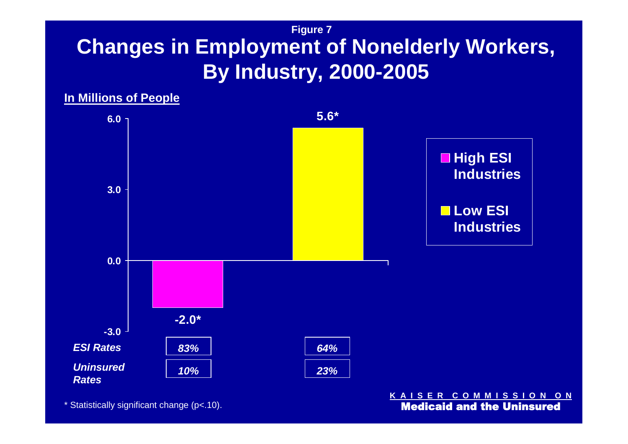#### **Figure 7 Changes in Employment of Nonelderly Workers, By Industry, 2000-2005**



\* Statistically significant change (p<.10).